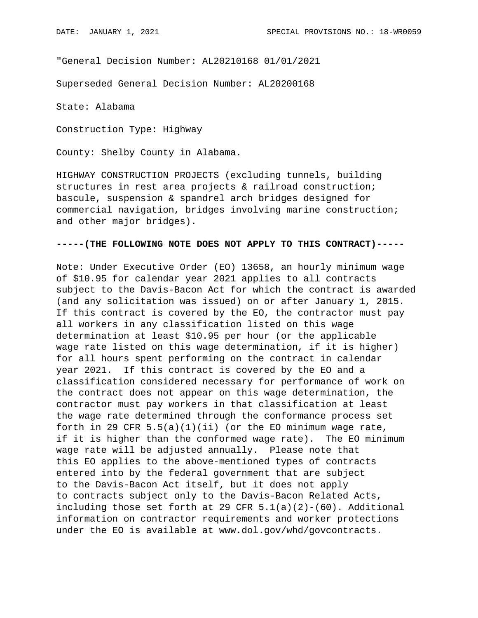"General Decision Number: AL20210168 01/01/2021

Superseded General Decision Number: AL20200168

State: Alabama

Construction Type: Highway

County: Shelby County in Alabama.

HIGHWAY CONSTRUCTION PROJECTS (excluding tunnels, building structures in rest area projects & railroad construction; bascule, suspension & spandrel arch bridges designed for commercial navigation, bridges involving marine construction; and other major bridges).

### **-----(THE FOLLOWING NOTE DOES NOT APPLY TO THIS CONTRACT)-----**

Note: Under Executive Order (EO) 13658, an hourly minimum wage of \$10.95 for calendar year 2021 applies to all contracts subject to the Davis-Bacon Act for which the contract is awarded (and any solicitation was issued) on or after January 1, 2015. If this contract is covered by the EO, the contractor must pay all workers in any classification listed on this wage determination at least \$10.95 per hour (or the applicable wage rate listed on this wage determination, if it is higher) for all hours spent performing on the contract in calendar year 2021. If this contract is covered by the EO and a classification considered necessary for performance of work on the contract does not appear on this wage determination, the contractor must pay workers in that classification at least the wage rate determined through the conformance process set forth in 29 CFR  $5.5(a)(1)(ii)$  (or the EO minimum wage rate, if it is higher than the conformed wage rate). The EO minimum wage rate will be adjusted annually. Please note that this EO applies to the above-mentioned types of contracts entered into by the federal government that are subject to the Davis-Bacon Act itself, but it does not apply to contracts subject only to the Davis-Bacon Related Acts, including those set forth at 29 CFR  $5.1(a)(2)-(60)$ . Additional information on contractor requirements and worker protections under the EO is available at www.dol.gov/whd/govcontracts.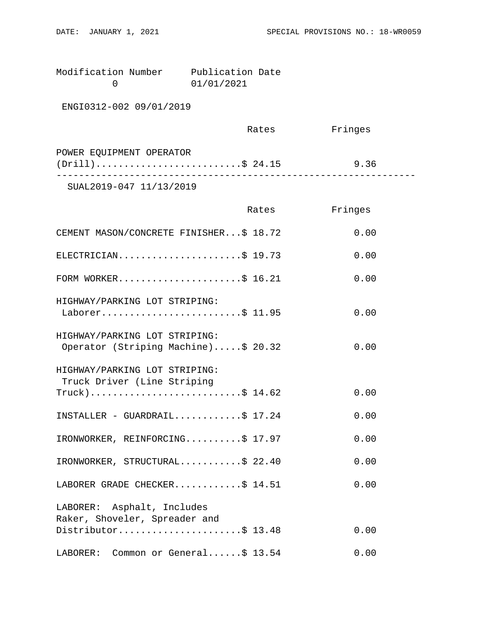| Modification Number | Publication Date |  |
|---------------------|------------------|--|
|                     | 01/01/2021       |  |

ENGI0312-002 09/01/2019

|                          | Rates | Fringes |  |
|--------------------------|-------|---------|--|
| POWER EQUIPMENT OPERATOR |       |         |  |
| $(Drill)$ \$ 24.15       |       | 9.36    |  |
| 2777770010017111100010   |       |         |  |

SUAL2019-047 11/13/2019

|                                                                      | Rates | Fringes |
|----------------------------------------------------------------------|-------|---------|
| CEMENT MASON/CONCRETE FINISHER\$ 18.72                               |       | 0.00    |
| ELECTRICIAN\$ 19.73                                                  |       | 0.00    |
| FORM WORKER\$ 16.21                                                  |       | 0.00    |
| HIGHWAY/PARKING LOT STRIPING:<br>Laborer\$ 11.95                     |       | 0.00    |
| HIGHWAY/PARKING LOT STRIPING:<br>Operator (Striping Machine)\$ 20.32 |       | 0.00    |
| HIGHWAY/PARKING LOT STRIPING:<br>Truck Driver (Line Striping         |       |         |
| $True k$ )\$ 14.62                                                   |       | 0.00    |
| INSTALLER - GUARDRAIL\$ 17.24                                        |       | 0.00    |
| IRONWORKER, REINFORCING\$ 17.97                                      |       | 0.00    |
| IRONWORKER, STRUCTURAL\$ 22.40                                       |       | 0.00    |
| LABORER GRADE CHECKER\$ 14.51                                        |       | 0.00    |
| LABORER: Asphalt, Includes                                           |       |         |
| Raker, Shoveler, Spreader and<br>Distributor\$ 13.48                 |       | 0.00    |
| LABORER: Common or General\$ 13.54                                   |       | 0.00    |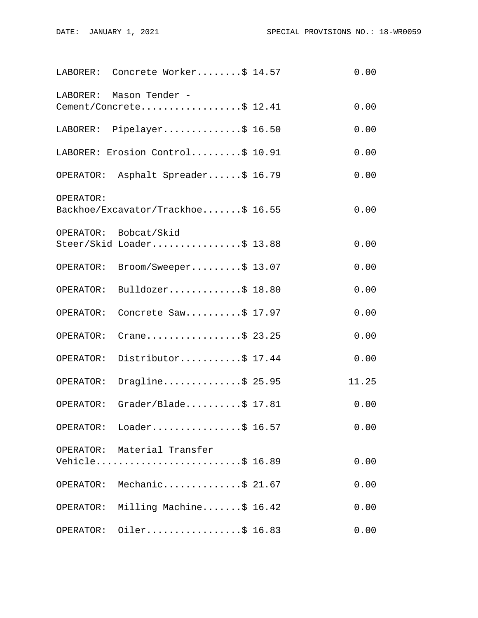|           | LABORER: Concrete Worker\$ 14.57                   | 0.00  |
|-----------|----------------------------------------------------|-------|
| LABORER:  | Mason Tender -<br>Cement/Concrete\$ 12.41          | 0.00  |
|           | LABORER: Pipelayer\$ 16.50                         | 0.00  |
|           | LABORER: Erosion Control\$ 10.91                   | 0.00  |
|           | OPERATOR: Asphalt Spreader\$ 16.79                 | 0.00  |
| OPERATOR: | Backhoe/Excavator/Trackhoe\$ 16.55                 | 0.00  |
|           | OPERATOR: Bobcat/Skid<br>Steer/Skid Loader\$ 13.88 | 0.00  |
| OPERATOR: | Broom/Sweeper\$ 13.07                              | 0.00  |
| OPERATOR: | Bulldozer\$ 18.80                                  | 0.00  |
| OPERATOR: | Concrete Saw\$ 17.97                               | 0.00  |
| OPERATOR: | Crane\$ 23.25                                      | 0.00  |
| OPERATOR: | Distributor\$ 17.44                                | 0.00  |
| OPERATOR: | Dragline\$ 25.95                                   | 11.25 |
| OPERATOR: | Grader/Blade $$ 17.81$                             | 0.00  |
|           | OPERATOR: Loader\$ 16.57                           | 0.00  |
|           | OPERATOR: Material Transfer<br>Vehicle\$ 16.89     | 0.00  |
|           | OPERATOR: Mechanic\$ 21.67                         | 0.00  |
|           | OPERATOR: Milling Machine\$ 16.42                  | 0.00  |
| OPERATOR: | Oiler\$ 16.83                                      | 0.00  |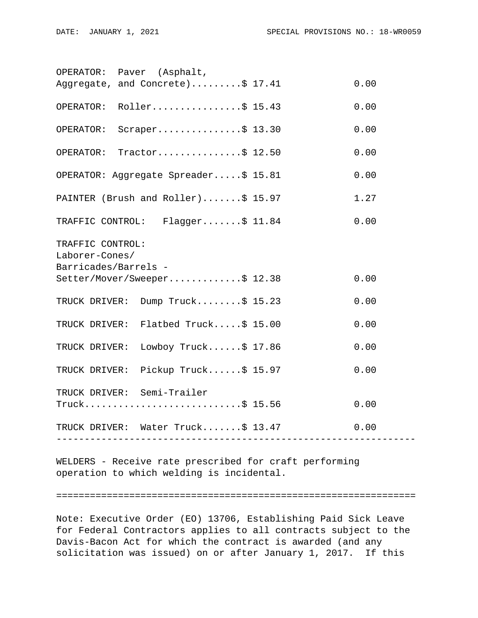|                                          | OPERATOR: Paver (Asphalt,            |  |      |
|------------------------------------------|--------------------------------------|--|------|
|                                          | Aggregate, and Concrete)\$ 17.41     |  | 0.00 |
|                                          | OPERATOR: Roller\$ 15.43             |  | 0.00 |
| OPERATOR:                                | Scraper\$ $13.30$                    |  | 0.00 |
| OPERATOR:                                | Tractor\$ $12.50$                    |  | 0.00 |
|                                          | OPERATOR: Aggregate Spreader\$ 15.81 |  | 0.00 |
|                                          | PAINTER (Brush and Roller)\$ 15.97   |  | 1.27 |
| 0.00<br>TRAFFIC CONTROL: Flagger\$ 11.84 |                                      |  |      |
| TRAFFIC CONTROL:                         |                                      |  |      |
| Laborer-Cones/                           |                                      |  |      |
| Barricades/Barrels -                     |                                      |  |      |
|                                          | Setter/Mover/Sweeper\$ 12.38         |  | 0.00 |
|                                          | TRUCK DRIVER: Dump Truck\$ 15.23     |  | 0.00 |
|                                          | TRUCK DRIVER: Flatbed Truck\$ 15.00  |  | 0.00 |
| TRUCK DRIVER:                            | Lowboy Truck $$17.86$                |  | 0.00 |
|                                          | TRUCK DRIVER: Pickup Truck\$ 15.97   |  | 0.00 |
|                                          | TRUCK DRIVER: Semi-Trailer           |  |      |
|                                          | $True k$ \$ 15.56                    |  | 0.00 |
|                                          | TRUCK DRIVER: Water Truck\$ 13.47    |  | 0.00 |
|                                          |                                      |  |      |

WELDERS - Receive rate prescribed for craft performing operation to which welding is incidental.

#### ================================================================

Note: Executive Order (EO) 13706, Establishing Paid Sick Leave for Federal Contractors applies to all contracts subject to the Davis-Bacon Act for which the contract is awarded (and any solicitation was issued) on or after January 1, 2017. If this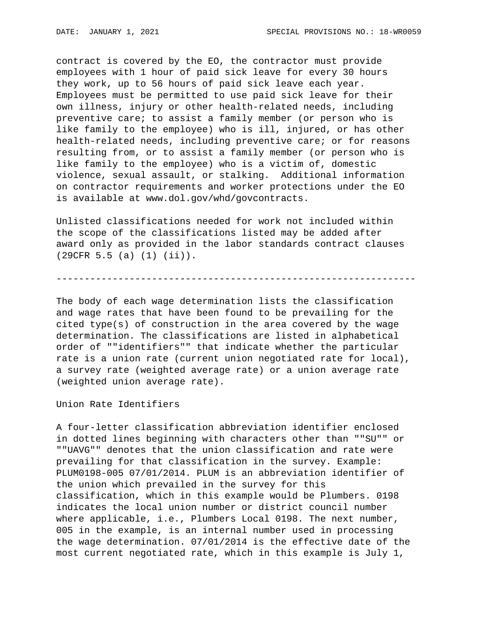contract is covered by the EO, the contractor must provide employees with 1 hour of paid sick leave for every 30 hours they work, up to 56 hours of paid sick leave each year. Employees must be permitted to use paid sick leave for their own illness, injury or other health-related needs, including preventive care; to assist a family member (or person who is like family to the employee) who is ill, injured, or has other health-related needs, including preventive care; or for reasons resulting from, or to assist a family member (or person who is like family to the employee) who is a victim of, domestic violence, sexual assault, or stalking. Additional information on contractor requirements and worker protections under the EO is available at www.dol.gov/whd/govcontracts.

Unlisted classifications needed for work not included within the scope of the classifications listed may be added after award only as provided in the labor standards contract clauses (29CFR 5.5 (a) (1) (ii)).

----------------------------------------------------------------

The body of each wage determination lists the classification and wage rates that have been found to be prevailing for the cited type(s) of construction in the area covered by the wage determination. The classifications are listed in alphabetical order of ""identifiers"" that indicate whether the particular rate is a union rate (current union negotiated rate for local), a survey rate (weighted average rate) or a union average rate (weighted union average rate).

Union Rate Identifiers

A four-letter classification abbreviation identifier enclosed in dotted lines beginning with characters other than ""SU"" or ""UAVG"" denotes that the union classification and rate were prevailing for that classification in the survey. Example: PLUM0198-005 07/01/2014. PLUM is an abbreviation identifier of the union which prevailed in the survey for this classification, which in this example would be Plumbers. 0198 indicates the local union number or district council number where applicable, i.e., Plumbers Local 0198. The next number, 005 in the example, is an internal number used in processing the wage determination. 07/01/2014 is the effective date of the most current negotiated rate, which in this example is July 1,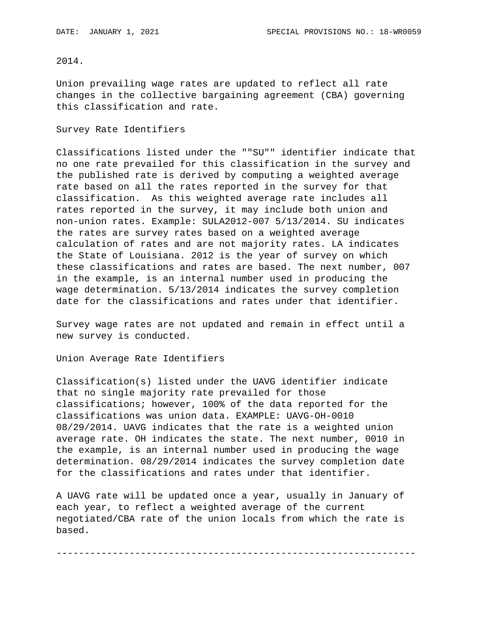# 2014.

Union prevailing wage rates are updated to reflect all rate changes in the collective bargaining agreement (CBA) governing this classification and rate.

#### Survey Rate Identifiers

Classifications listed under the ""SU"" identifier indicate that no one rate prevailed for this classification in the survey and the published rate is derived by computing a weighted average rate based on all the rates reported in the survey for that classification. As this weighted average rate includes all rates reported in the survey, it may include both union and non-union rates. Example: SULA2012-007 5/13/2014. SU indicates the rates are survey rates based on a weighted average calculation of rates and are not majority rates. LA indicates the State of Louisiana. 2012 is the year of survey on which these classifications and rates are based. The next number, 007 in the example, is an internal number used in producing the wage determination. 5/13/2014 indicates the survey completion date for the classifications and rates under that identifier.

Survey wage rates are not updated and remain in effect until a new survey is conducted.

Union Average Rate Identifiers

Classification(s) listed under the UAVG identifier indicate that no single majority rate prevailed for those classifications; however, 100% of the data reported for the classifications was union data. EXAMPLE: UAVG-OH-0010 08/29/2014. UAVG indicates that the rate is a weighted union average rate. OH indicates the state. The next number, 0010 in the example, is an internal number used in producing the wage determination. 08/29/2014 indicates the survey completion date for the classifications and rates under that identifier.

A UAVG rate will be updated once a year, usually in January of each year, to reflect a weighted average of the current negotiated/CBA rate of the union locals from which the rate is based.

----------------------------------------------------------------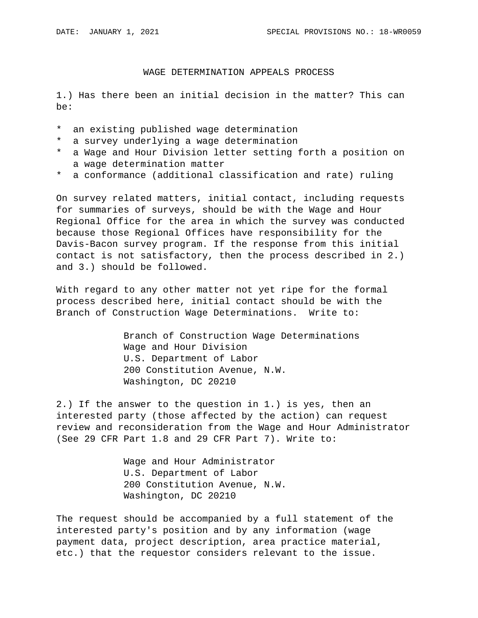# WAGE DETERMINATION APPEALS PROCESS

1.) Has there been an initial decision in the matter? This can be:

- \* an existing published wage determination
- \* a survey underlying a wage determination
- \* a Wage and Hour Division letter setting forth a position on a wage determination matter
- \* a conformance (additional classification and rate) ruling

On survey related matters, initial contact, including requests for summaries of surveys, should be with the Wage and Hour Regional Office for the area in which the survey was conducted because those Regional Offices have responsibility for the Davis-Bacon survey program. If the response from this initial contact is not satisfactory, then the process described in 2.) and 3.) should be followed.

With regard to any other matter not yet ripe for the formal process described here, initial contact should be with the Branch of Construction Wage Determinations. Write to:

> Branch of Construction Wage Determinations Wage and Hour Division U.S. Department of Labor 200 Constitution Avenue, N.W. Washington, DC 20210

2.) If the answer to the question in 1.) is yes, then an interested party (those affected by the action) can request review and reconsideration from the Wage and Hour Administrator (See 29 CFR Part 1.8 and 29 CFR Part 7). Write to:

> Wage and Hour Administrator U.S. Department of Labor 200 Constitution Avenue, N.W. Washington, DC 20210

The request should be accompanied by a full statement of the interested party's position and by any information (wage payment data, project description, area practice material, etc.) that the requestor considers relevant to the issue.